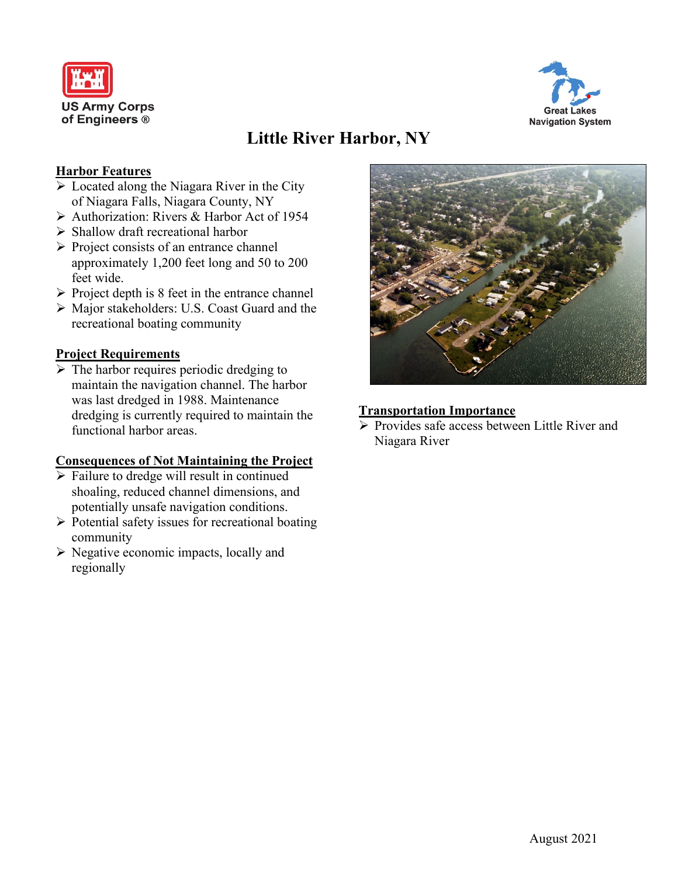



# **Little River Harbor, NY**

#### **Harbor Features**

- $\triangleright$  Located along the Niagara River in the City of Niagara Falls, Niagara County, NY
- ▶ Authorization: Rivers & Harbor Act of 1954
- $\triangleright$  Shallow draft recreational harbor
- $\triangleright$  Project consists of an entrance channel approximately 1,200 feet long and 50 to 200 feet wide.
- $\triangleright$  Project depth is 8 feet in the entrance channel
- Major stakeholders: U.S. Coast Guard and the recreational boating community

### **Project Requirements**

 $\triangleright$  The harbor requires periodic dredging to maintain the navigation channel. The harbor was last dredged in 1988. Maintenance dredging is currently required to maintain the functional harbor areas.

### **Consequences of Not Maintaining the Project**

- $\triangleright$  Failure to dredge will result in continued shoaling, reduced channel dimensions, and potentially unsafe navigation conditions.
- $\triangleright$  Potential safety issues for recreational boating community
- $\triangleright$  Negative economic impacts, locally and regionally



#### **Transportation Importance**

 $\triangleright$  Provides safe access between Little River and Niagara River